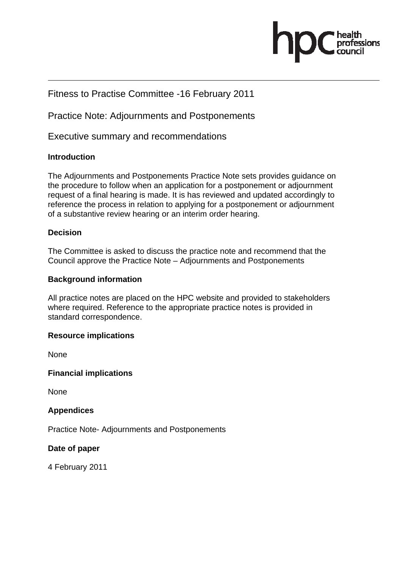

# Fitness to Practise Committee -16 February 2011

Practice Note: Adjournments and Postponements

Executive summary and recommendations

## **Introduction**

The Adjournments and Postponements Practice Note sets provides guidance on the procedure to follow when an application for a postponement or adjournment request of a final hearing is made. It is has reviewed and updated accordingly to reference the process in relation to applying for a postponement or adjournment of a substantive review hearing or an interim order hearing.

## **Decision**

The Committee is asked to discuss the practice note and recommend that the Council approve the Practice Note – Adjournments and Postponements

## **Background information**

All practice notes are placed on the HPC website and provided to stakeholders where required. Reference to the appropriate practice notes is provided in standard correspondence.

## **Resource implications**

None

## **Financial implications**

None

## **Appendices**

Practice Note- Adjournments and Postponements

## **Date of paper**

4 February 2011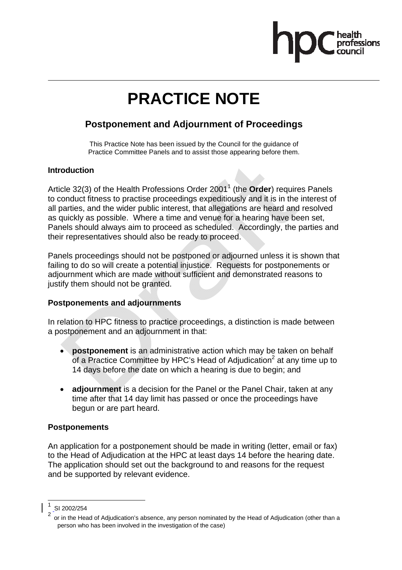

# **PRACTICE NOTE**

# **Postponement and Adjournment of Proceedings**

This Practice Note has been issued by the Council for the guidance of Practice Committee Panels and to assist those appearing before them.

## **Introduction**

Article 32(3) of the Health Professions Order 2001<sup>1</sup> (the **Order**) requires Panels to conduct fitness to practise proceedings expeditiously and it is in the interest of all parties, and the wider public interest, that allegations are heard and resolved as quickly as possible. Where a time and venue for a hearing have been set, Panels should always aim to proceed as scheduled. Accordingly, the parties and their representatives should also be ready to proceed.

Panels proceedings should not be postponed or adjourned unless it is shown that failing to do so will create a potential injustice. Requests for postponements or adjournment which are made without sufficient and demonstrated reasons to justify them should not be granted.

# **Postponements and adjournments**

In relation to HPC fitness to practice proceedings, a distinction is made between a postponement and an adjournment in that:

- **postponement** is an administrative action which may be taken on behalf of a Practice Committee by HPC's Head of Adjudication<sup>2</sup> at any time up to 14 days before the date on which a hearing is due to begin; and
- **adjournment** is a decision for the Panel or the Panel Chair, taken at any time after that 14 day limit has passed or once the proceedings have begun or are part heard.

# **Postponements**

An application for a postponement should be made in writing (letter, email or fax) to the Head of Adjudication at the HPC at least days 14 before the hearing date. The application should set out the background to and reasons for the request and be supported by relevant evidence.

SI 2002/254 2

 $\overline{a}$ 

or in the Head of Adjudication's absence, any person nominated by the Head of Adjudication (other than a person who has been involved in the investigation of the case)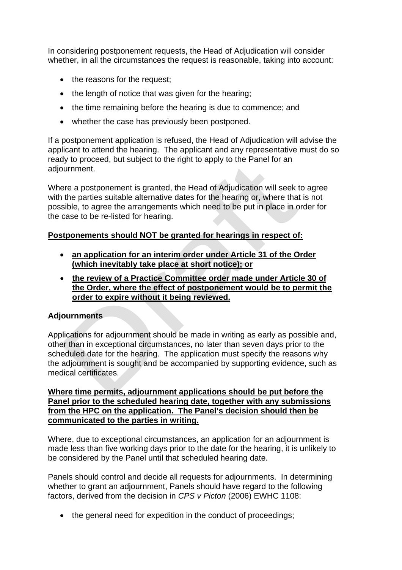In considering postponement requests, the Head of Adjudication will consider whether, in all the circumstances the request is reasonable, taking into account:

- the reasons for the request:
- the length of notice that was given for the hearing;
- the time remaining before the hearing is due to commence; and
- whether the case has previously been postponed.

If a postponement application is refused, the Head of Adjudication will advise the applicant to attend the hearing. The applicant and any representative must do so ready to proceed, but subject to the right to apply to the Panel for an adjournment.

Where a postponement is granted, the Head of Adjudication will seek to agree with the parties suitable alternative dates for the hearing or, where that is not possible, to agree the arrangements which need to be put in place in order for the case to be re-listed for hearing.

# **Postponements should NOT be granted for hearings in respect of:**

- **an application for an interim order under Article 31 of the Order (which inevitably take place at short notice); or**
- **the review of a Practice Committee order made under Article 30 of the Order, where the effect of postponement would be to permit the order to expire without it being reviewed.**

# **Adjournments**

Applications for adjournment should be made in writing as early as possible and, other than in exceptional circumstances, no later than seven days prior to the scheduled date for the hearing. The application must specify the reasons why the adjournment is sought and be accompanied by supporting evidence, such as medical certificates.

**Where time permits, adjournment applications should be put before the Panel prior to the scheduled hearing date, together with any submissions from the HPC on the application. The Panel's decision should then be communicated to the parties in writing.** 

Where, due to exceptional circumstances, an application for an adjournment is made less than five working days prior to the date for the hearing, it is unlikely to be considered by the Panel until that scheduled hearing date.

Panels should control and decide all requests for adjournments. In determining whether to grant an adjournment, Panels should have regard to the following factors, derived from the decision in *CPS v Picton* (2006) EWHC 1108:

• the general need for expedition in the conduct of proceedings;